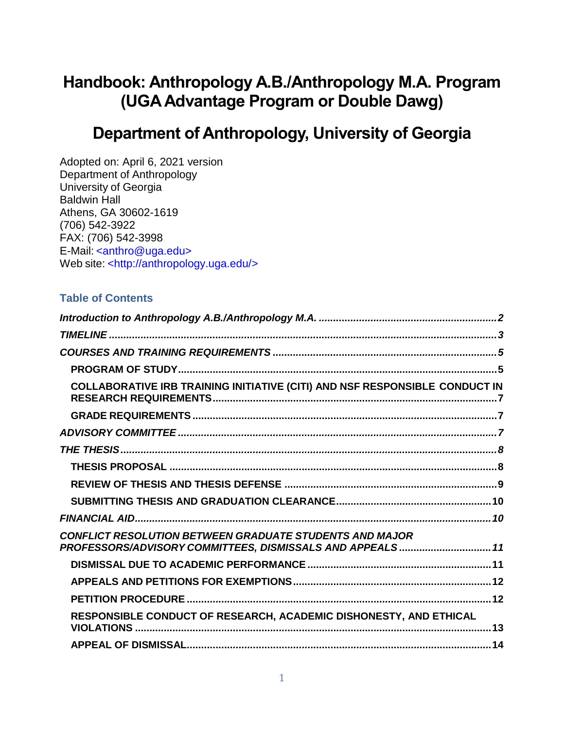# **Handbook: Anthropology A.B./Anthropology M.A. Program (UGA Advantage Program or Double Dawg)**

# **Department of Anthropology, University of Georgia**

Adopted on: April 6, 2021 version Department of Anthropology University of Georgia Baldwin Hall Athens, GA 30602-1619 (706) 542-3922 FAX: (706) 542-3998 E-Mail: [<anthro@uga.edu>](mailto:anthro@uga.edu) Web site: [<http://anthropology.uga.edu/>](http://anthropology.uga.edu/)

#### **Table of Contents**

| COLLABORATIVE IRB TRAINING INITIATIVE (CITI) AND NSF RESPONSIBLE CONDUCT IN                                                 |  |
|-----------------------------------------------------------------------------------------------------------------------------|--|
|                                                                                                                             |  |
|                                                                                                                             |  |
|                                                                                                                             |  |
|                                                                                                                             |  |
|                                                                                                                             |  |
|                                                                                                                             |  |
|                                                                                                                             |  |
| <b>CONFLICT RESOLUTION BETWEEN GRADUATE STUDENTS AND MAJOR</b><br>PROFESSORS/ADVISORY COMMITTEES, DISMISSALS AND APPEALS 11 |  |
|                                                                                                                             |  |
|                                                                                                                             |  |
|                                                                                                                             |  |
| RESPONSIBLE CONDUCT OF RESEARCH, ACADEMIC DISHONESTY, AND ETHICAL                                                           |  |
|                                                                                                                             |  |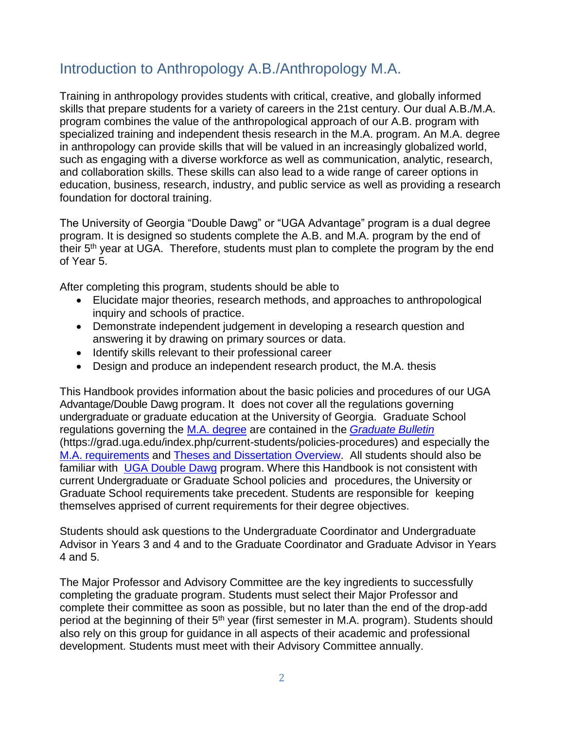## <span id="page-1-0"></span>Introduction to Anthropology A.B./Anthropology M.A.

Training in anthropology provides students with critical, creative, and globally informed skills that prepare students for a variety of careers in the 21st century. Our dual A.B./M.A. program combines the value of the anthropological approach of our A.B. program with specialized training and independent thesis research in the M.A. program. An M.A. degree in anthropology can provide skills that will be valued in an increasingly globalized world, such as engaging with a diverse workforce as well as communication, analytic, research, and collaboration skills. These skills can also lead to a wide range of career options in education, business, research, industry, and public service as well as providing a research foundation for doctoral training.

The University of Georgia "Double Dawg" or "UGA Advantage" program is a dual degree program. It is designed so students complete the A.B. and M.A. program by the end of their 5<sup>th</sup> year at UGA. Therefore, students must plan to complete the program by the end of Year 5.

After completing this program, students should be able to

- Elucidate major theories, research methods, and approaches to anthropological inquiry and schools of practice.
- Demonstrate independent judgement in developing a research question and answering it by drawing on primary sources or data.
- Identify skills relevant to their professional career
- Design and produce an independent research product, the M.A. thesis

This Handbook provides information about the basic policies and procedures of our UGA Advantage/Double Dawg program. It does not cover all the regulations governing undergraduate or graduate education at the University of Georgia. Graduate School regulations governing the [M.A. degree](https://grad.uga.edu/index.php/current-students/policies-procedures/academics/types-of-degrees-offered/masters-degrees/master-of-arts/) are contained in the *[Graduate](https://grad.uga.edu/index.php/current-students/policies-procedures/) Bulletin* (https://grad.uga.edu/index.php/current-students/policies-procedures) and especially the [M.A. requirements](https://grad.uga.edu/index.php/current-students/policies-procedures/academics/types-of-degrees-offered/masters-degrees/) and [Theses and Dissertation Overview.](https://grad.uga.edu/index.php/current-students/policies-procedures/theses-dissertations-guidelines/) All students should also be familiar with [UGA Double Dawg](http://doubledawgs.uga.edu/faq.html) program. Where this Handbook is not consistent with current Undergraduate or Graduate School policies and procedures, the University or Graduate School requirements take precedent. Students are responsible for keeping themselves apprised of current requirements for their degree objectives.

Students should ask questions to the Undergraduate Coordinator and Undergraduate Advisor in Years 3 and 4 and to the Graduate Coordinator and Graduate Advisor in Years 4 and 5.

The Major Professor and Advisory Committee are the key ingredients to successfully completing the graduate program. Students must select their Major Professor and complete their committee as soon as possible, but no later than the end of the drop-add period at the beginning of their 5<sup>th</sup> year (first semester in M.A. program). Students should also rely on this group for guidance in all aspects of their academic and professional development. Students must meet with their Advisory Committee annually.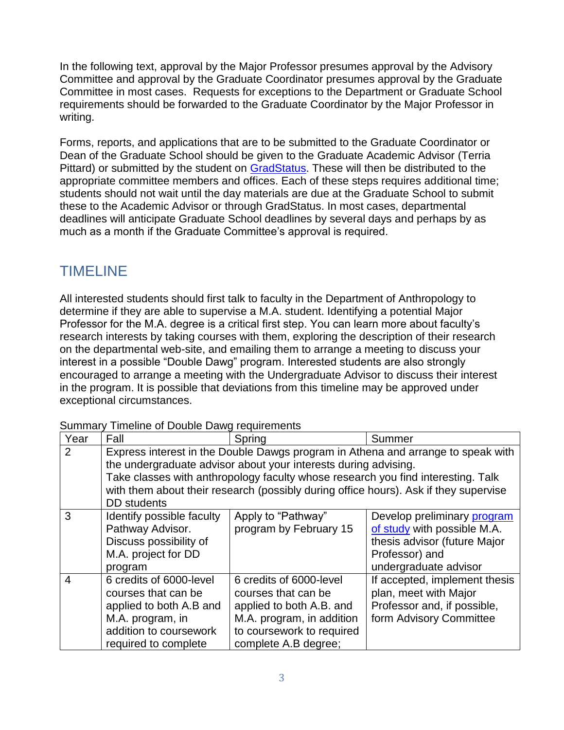In the following text, approval by the Major Professor presumes approval by the Advisory Committee and approval by the Graduate Coordinator presumes approval by the Graduate Committee in most cases. Requests for exceptions to the Department or Graduate School requirements should be forwarded to the Graduate Coordinator by the Major Professor in writing.

Forms, reports, and applications that are to be submitted to the Graduate Coordinator or Dean of the Graduate School should be given to the Graduate Academic Advisor (Terria Pittard) or submitted by the student on [GradStatus.](https://grad.uga.edu/index.php/current-students/forms/) These will then be distributed to the appropriate committee members and offices. Each of these steps requires additional time; students should not wait until the day materials are due at the Graduate School to submit these to the Academic Advisor or through GradStatus. In most cases, departmental deadlines will anticipate Graduate School deadlines by several days and perhaps by as much as a month if the Graduate Committee's approval is required.

## <span id="page-2-0"></span>TIMELINE

All interested students should first talk to faculty in the Department of Anthropology to determine if they are able to supervise a M.A. student. Identifying a potential Major Professor for the M.A. degree is a critical first step. You can learn more about faculty's research interests by taking courses with them, exploring the description of their research on the departmental web-site, and emailing them to arrange a meeting to discuss your interest in a possible "Double Dawg" program. Interested students are also strongly encouraged to arrange a meeting with the Undergraduate Advisor to discuss their interest in the program. It is possible that deviations from this timeline may be approved under exceptional circumstances.

| Year           | Fall                                                                                                                                                                                                                                                                                                                                                  | Spring                                                                                                                                                       | Summer                                                                                                                                |
|----------------|-------------------------------------------------------------------------------------------------------------------------------------------------------------------------------------------------------------------------------------------------------------------------------------------------------------------------------------------------------|--------------------------------------------------------------------------------------------------------------------------------------------------------------|---------------------------------------------------------------------------------------------------------------------------------------|
| 2              | Express interest in the Double Dawgs program in Athena and arrange to speak with<br>the undergraduate advisor about your interests during advising.<br>Take classes with anthropology faculty whose research you find interesting. Talk<br>with them about their research (possibly during office hours). Ask if they supervise<br><b>DD</b> students |                                                                                                                                                              |                                                                                                                                       |
| 3              | Identify possible faculty<br>Pathway Advisor.<br>Discuss possibility of<br>M.A. project for DD<br>program                                                                                                                                                                                                                                             | Apply to "Pathway"<br>program by February 15                                                                                                                 | Develop preliminary program<br>of study with possible M.A.<br>thesis advisor (future Major<br>Professor) and<br>undergraduate advisor |
| $\overline{4}$ | 6 credits of 6000-level<br>courses that can be<br>applied to both A.B and<br>M.A. program, in<br>addition to coursework<br>required to complete                                                                                                                                                                                                       | 6 credits of 6000-level<br>courses that can be<br>applied to both A.B. and<br>M.A. program, in addition<br>to coursework to required<br>complete A.B degree; | If accepted, implement thesis<br>plan, meet with Major<br>Professor and, if possible,<br>form Advisory Committee                      |

| Summary Timeline of Double Dawg requirements |  |  |  |  |
|----------------------------------------------|--|--|--|--|
|----------------------------------------------|--|--|--|--|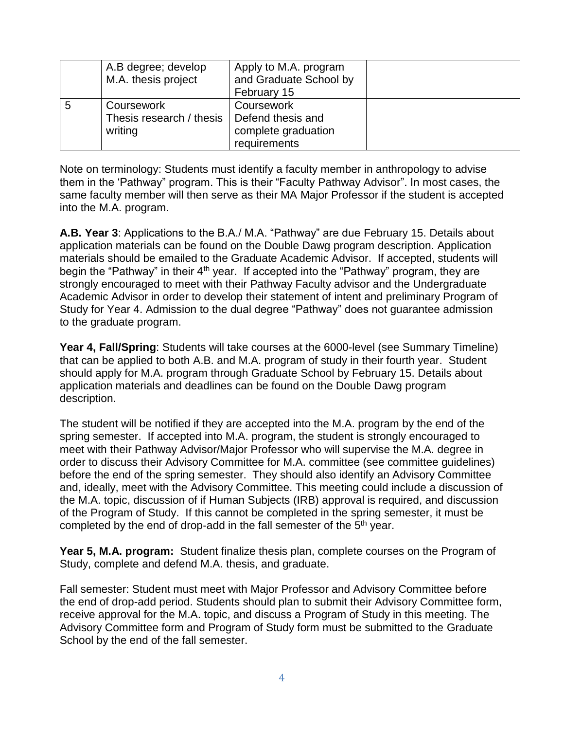|   | A.B degree; develop<br>M.A. thesis project          | Apply to M.A. program<br>and Graduate School by<br>February 15         |  |
|---|-----------------------------------------------------|------------------------------------------------------------------------|--|
| 5 | Coursework<br>Thesis research / thesis  <br>writing | Coursework<br>Defend thesis and<br>complete graduation<br>requirements |  |

Note on terminology: Students must identify a faculty member in anthropology to advise them in the 'Pathway" program. This is their "Faculty Pathway Advisor". In most cases, the same faculty member will then serve as their MA Major Professor if the student is accepted into the M.A. program.

**A.B. Year 3**: Applications to the B.A./ M.A. "Pathway" are due February 15. Details about application materials can be found on the Double Dawg program description. Application materials should be emailed to the Graduate Academic Advisor. If accepted, students will begin the "Pathway" in their  $4<sup>th</sup>$  year. If accepted into the "Pathway" program, they are strongly encouraged to meet with their Pathway Faculty advisor and the Undergraduate Academic Advisor in order to develop their statement of intent and preliminary Program of Study for Year 4. Admission to the dual degree "Pathway" does not guarantee admission to the graduate program.

**Year 4, Fall/Spring**: Students will take courses at the 6000-level (see Summary Timeline) that can be applied to both A.B. and M.A. program of study in their fourth year. Student should apply for M.A. program through Graduate School by February 15. Details about application materials and deadlines can be found on the Double Dawg program description.

The student will be notified if they are accepted into the M.A. program by the end of the spring semester. If accepted into M.A. program, the student is strongly encouraged to meet with their Pathway Advisor/Major Professor who will supervise the M.A. degree in order to discuss their Advisory Committee for M.A. committee (see committee guidelines) before the end of the spring semester. They should also identify an Advisory Committee and, ideally, meet with the Advisory Committee. This meeting could include a discussion of the M.A. topic, discussion of if Human Subjects (IRB) approval is required, and discussion of the Program of Study. If this cannot be completed in the spring semester, it must be completed by the end of drop-add in the fall semester of the  $5<sup>th</sup>$  year.

**Year 5, M.A. program:** Student finalize thesis plan, complete courses on the Program of Study, complete and defend M.A. thesis, and graduate.

Fall semester: Student must meet with Major Professor and Advisory Committee before the end of drop-add period. Students should plan to submit their Advisory Committee form, receive approval for the M.A. topic, and discuss a Program of Study in this meeting. The Advisory Committee form and Program of Study form must be submitted to the Graduate School by the end of the fall semester.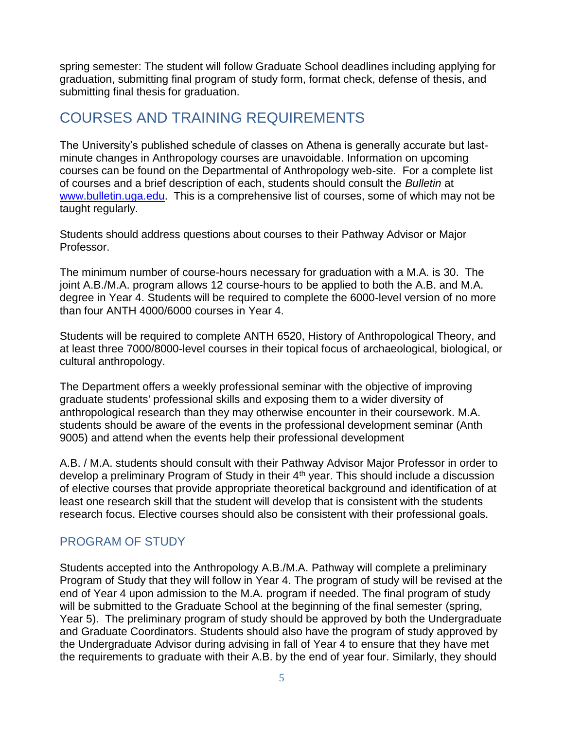spring semester: The student will follow Graduate School deadlines including applying for graduation, submitting final program of study form, format check, defense of thesis, and submitting final thesis for graduation.

## <span id="page-4-0"></span>COURSES AND TRAINING REQUIREMENTS

The University's published schedule of classes on Athena is generally accurate but lastminute changes in Anthropology courses are unavoidable. Information on upcoming courses can be found on the Departmental of Anthropology web-site. For a complete list of courses and a brief description of each, students should consult the *Bulletin* at [www.bulletin.uga.edu.](http://www.bulletin.uga.edu/) This is a comprehensive list of courses, some of which may not be taught regularly.

Students should address questions about courses to their Pathway Advisor or Major Professor.

The minimum number of course-hours necessary for graduation with a M.A. is 30. The joint A.B./M.A. program allows 12 course-hours to be applied to both the A.B. and M.A. degree in Year 4. Students will be required to complete the 6000-level version of no more than four ANTH 4000/6000 courses in Year 4.

Students will be required to complete ANTH 6520, History of Anthropological Theory, and at least three 7000/8000-level courses in their topical focus of archaeological, biological, or cultural anthropology.

The Department offers a weekly professional seminar with the objective of improving graduate students' professional skills and exposing them to a wider diversity of anthropological research than they may otherwise encounter in their coursework. M.A. students should be aware of the events in the professional development seminar (Anth 9005) and attend when the events help their professional development

A.B. / M.A. students should consult with their Pathway Advisor Major Professor in order to develop a preliminary Program of Study in their 4<sup>th</sup> year. This should include a discussion of elective courses that provide appropriate theoretical background and identification of at least one research skill that the student will develop that is consistent with the students research focus. Elective courses should also be consistent with their professional goals.

### <span id="page-4-1"></span>PROGRAM OF STUDY

Students accepted into the Anthropology A.B./M.A. Pathway will complete a preliminary Program of Study that they will follow in Year 4. The program of study will be revised at the end of Year 4 upon admission to the M.A. program if needed. The final program of study will be submitted to the Graduate School at the beginning of the final semester (spring, Year 5). The preliminary program of study should be approved by both the Undergraduate and Graduate Coordinators. Students should also have the program of study approved by the Undergraduate Advisor during advising in fall of Year 4 to ensure that they have met the requirements to graduate with their A.B. by the end of year four. Similarly, they should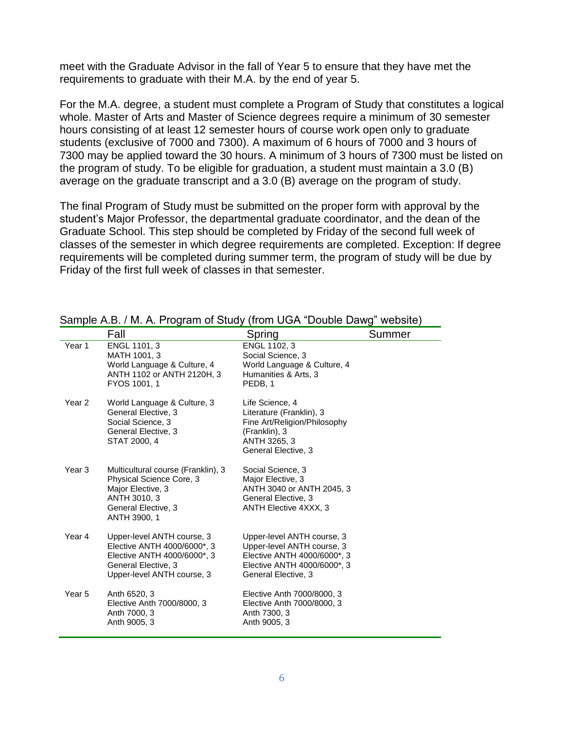meet with the Graduate Advisor in the fall of Year 5 to ensure that they have met the requirements to graduate with their M.A. by the end of year 5.

For the M.A. degree, a student must complete a Program of Study that constitutes a logical whole. Master of Arts and Master of Science degrees require a minimum of 30 semester hours consisting of at least 12 semester hours of course work open only to graduate students (exclusive of 7000 and 7300). A maximum of 6 hours of 7000 and 3 hours of 7300 may be applied toward the 30 hours. A minimum of 3 hours of 7300 must be listed on the program of study. To be eligible for graduation, a student must maintain a 3.0 (B) average on the graduate transcript and a 3.0 (B) average on the program of study.

The final Program of Study must be submitted on the proper form with approval by the student's Major Professor, the departmental graduate coordinator, and the dean of the Graduate School. This step should be completed by Friday of the second full week of classes of the semester in which degree requirements are completed. Exception: If degree requirements will be completed during summer term, the program of study will be due by Friday of the first full week of classes in that semester.

|        | Fall                                                                                                                                          | Spring                                                                                                                                        | Summer |
|--------|-----------------------------------------------------------------------------------------------------------------------------------------------|-----------------------------------------------------------------------------------------------------------------------------------------------|--------|
| Year 1 | ENGL 1101, 3<br>MATH 1001, 3<br>World Language & Culture, 4<br>ANTH 1102 or ANTH 2120H, 3<br>FYOS 1001, 1                                     | ENGL 1102, 3<br>Social Science, 3<br>World Language & Culture, 4<br>Humanities & Arts, 3<br>PEDB, 1                                           |        |
| Year 2 | World Language & Culture, 3<br>General Elective, 3<br>Social Science, 3<br>General Elective, 3<br>STAT 2000, 4                                | Life Science, 4<br>Literature (Franklin), 3<br>Fine Art/Religion/Philosophy<br>(Franklin), 3<br>ANTH 3265, 3<br>General Elective, 3           |        |
| Year 3 | Multicultural course (Franklin), 3<br>Physical Science Core, 3<br>Major Elective, 3<br>ANTH 3010, 3<br>General Elective, 3<br>ANTH 3900, 1    | Social Science, 3<br>Major Elective, 3<br>ANTH 3040 or ANTH 2045, 3<br>General Elective, 3<br><b>ANTH Elective 4XXX, 3</b>                    |        |
| Year 4 | Upper-level ANTH course, 3<br>Elective ANTH 4000/6000*, 3<br>Elective ANTH 4000/6000*, 3<br>General Elective, 3<br>Upper-level ANTH course, 3 | Upper-level ANTH course, 3<br>Upper-level ANTH course, 3<br>Elective ANTH 4000/6000*, 3<br>Elective ANTH 4000/6000*, 3<br>General Elective, 3 |        |
| Year 5 | Anth 6520, 3<br>Elective Anth 7000/8000, 3<br>Anth 7000, 3<br>Anth 9005, 3                                                                    | Elective Anth 7000/8000, 3<br>Elective Anth 7000/8000, 3<br>Anth 7300, 3<br>Anth 9005, 3                                                      |        |

Sample A.B. *I.M. A. Program of Study (from UGA* "Double Dawg" website)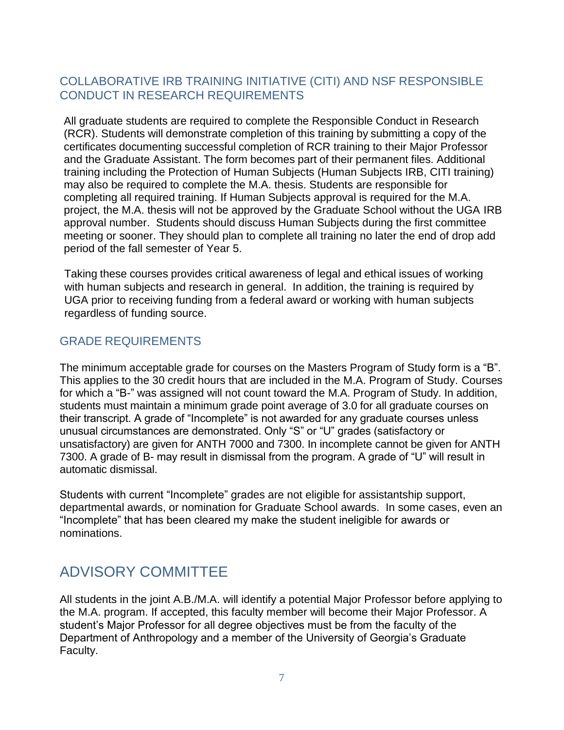#### <span id="page-6-0"></span>COLLABORATIVE IRB TRAINING INITIATIVE (CITI) AND NSF RESPONSIBLE CONDUCT IN RESEARCH REQUIREMENTS

All graduate students are required to complete the Responsible Conduct in Research (RCR). Students will demonstrate completion of this training by submitting a copy of the certificates documenting successful completion of RCR training to their Major Professor and the Graduate Assistant. The form becomes part of their permanent files. Additional training including the Protection of Human Subjects (Human Subjects IRB, CITI training) may also be required to complete the M.A. thesis. Students are responsible for completing all required training. If Human Subjects approval is required for the M.A. project, the M.A. thesis will not be approved by the Graduate School without the UGA IRB approval number. Students should discuss Human Subjects during the first committee meeting or sooner. They should plan to complete all training no later the end of drop add period of the fall semester of Year 5.

Taking these courses provides critical awareness of legal and ethical issues of working with human subjects and research in general. In addition, the training is required by UGA prior to receiving funding from a federal award or working with human subjects regardless of funding source.

#### <span id="page-6-1"></span>GRADE REQUIREMENTS

The minimum acceptable grade for courses on the Masters Program of Study form is a "B". This applies to the 30 credit hours that are included in the M.A. Program of Study. Courses for which a "B-" was assigned will not count toward the M.A. Program of Study. In addition, students must maintain a minimum grade point average of 3.0 for all graduate courses on their transcript. A grade of "Incomplete" is not awarded for any graduate courses unless unusual circumstances are demonstrated. Only "S" or "U" grades (satisfactory or unsatisfactory) are given for ANTH 7000 and 7300. In incomplete cannot be given for ANTH 7300. A grade of B- may result in dismissal from the program. A grade of "U" will result in automatic dismissal.

Students with current "Incomplete" grades are not eligible for assistantship support, departmental awards, or nomination for Graduate School awards. In some cases, even an "Incomplete" that has been cleared my make the student ineligible for awards or nominations.

## <span id="page-6-2"></span>ADVISORY COMMITTEE

All students in the joint A.B./M.A. will identify a potential Major Professor before applying to the M.A. program. If accepted, this faculty member will become their Major Professor. A student's Major Professor for all degree objectives must be from the faculty of the Department of Anthropology and a member of the University of Georgia's Graduate Faculty.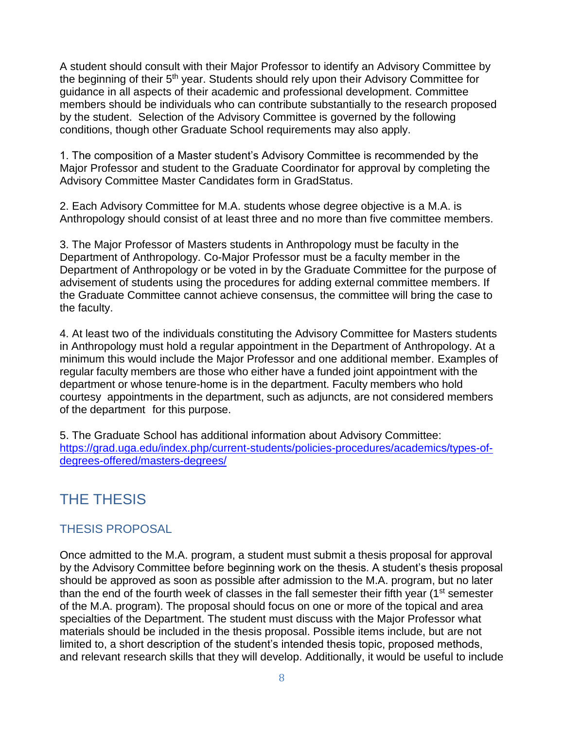A student should consult with their Major Professor to identify an Advisory Committee by the beginning of their 5<sup>th</sup> year. Students should rely upon their Advisory Committee for guidance in all aspects of their academic and professional development. Committee members should be individuals who can contribute substantially to the research proposed by the student. Selection of the Advisory Committee is governed by the following conditions, though other Graduate School requirements may also apply.

1. The composition of a Master student's Advisory Committee is recommended by the Major Professor and student to the Graduate Coordinator for approval by completing the Advisory Committee Master Candidates form in GradStatus.

2. Each Advisory Committee for M.A. students whose degree objective is a M.A. is Anthropology should consist of at least three and no more than five committee members.

3. The Major Professor of Masters students in Anthropology must be faculty in the Department of Anthropology. Co-Major Professor must be a faculty member in the Department of Anthropology or be voted in by the Graduate Committee for the purpose of advisement of students using the procedures for adding external committee members. If the Graduate Committee cannot achieve consensus, the committee will bring the case to the faculty.

4. At least two of the individuals constituting the Advisory Committee for Masters students in Anthropology must hold a regular appointment in the Department of Anthropology. At a minimum this would include the Major Professor and one additional member. Examples of regular faculty members are those who either have a funded joint appointment with the department or whose tenure-home is in the department. Faculty members who hold courtesy appointments in the department, such as adjuncts, are not considered members of the department for this purpose.

5. The Graduate School has additional information about Advisory Committee: [https://grad.uga.edu/index.php/current-students/policies-procedures/academics/types-of](https://grad.uga.edu/index.php/current-students/policies-procedures/academics/types-of-degrees-offered/masters-degrees/)[degrees-offered/masters-degrees/](https://grad.uga.edu/index.php/current-students/policies-procedures/academics/types-of-degrees-offered/masters-degrees/)

## <span id="page-7-0"></span>THE THESIS

#### <span id="page-7-1"></span>THESIS PROPOSAL

Once admitted to the M.A. program, a student must submit a thesis proposal for approval by the Advisory Committee before beginning work on the thesis. A student's thesis proposal should be approved as soon as possible after admission to the M.A. program, but no later than the end of the fourth week of classes in the fall semester their fifth year (1<sup>st</sup> semester of the M.A. program). The proposal should focus on one or more of the topical and area specialties of the Department. The student must discuss with the Major Professor what materials should be included in the thesis proposal. Possible items include, but are not limited to, a short description of the student's intended thesis topic, proposed methods, and relevant research skills that they will develop. Additionally, it would be useful to include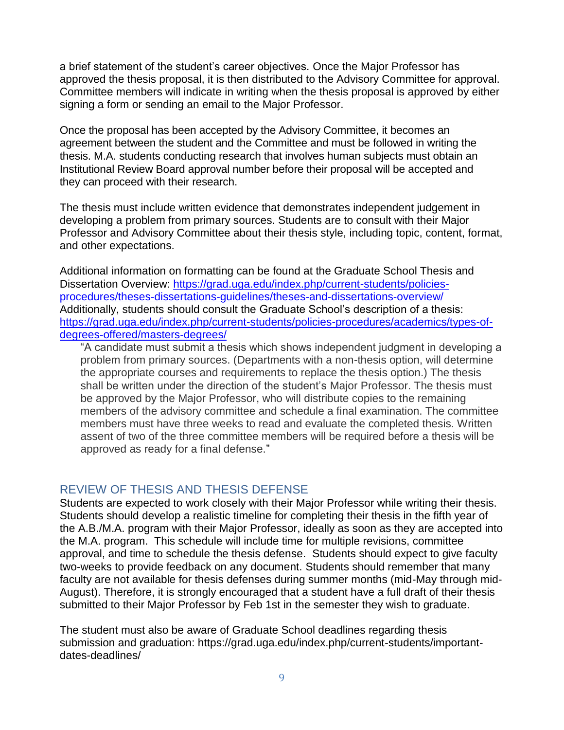a brief statement of the student's career objectives. Once the Major Professor has approved the thesis proposal, it is then distributed to the Advisory Committee for approval. Committee members will indicate in writing when the thesis proposal is approved by either signing a form or sending an email to the Major Professor.

Once the proposal has been accepted by the Advisory Committee, it becomes an agreement between the student and the Committee and must be followed in writing the thesis. M.A. students conducting research that involves human subjects must obtain an Institutional Review Board approval number before their proposal will be accepted and they can proceed with their research.

The thesis must include written evidence that demonstrates independent judgement in developing a problem from primary sources. Students are to consult with their Major Professor and Advisory Committee about their thesis style, including topic, content, format, and other expectations.

Additional information on formatting can be found at the Graduate School Thesis and Dissertation Overview: [https://grad.uga.edu/index.php/current-students/policies](https://grad.uga.edu/index.php/current-students/policies-procedures/theses-dissertations-guidelines/theses-and-dissertations-overview/)[procedures/theses-dissertations-guidelines/theses-and-dissertations-overview/](https://grad.uga.edu/index.php/current-students/policies-procedures/theses-dissertations-guidelines/theses-and-dissertations-overview/) Additionally, students should consult the Graduate School's description of a thesis: [https://grad.uga.edu/index.php/current-students/policies-procedures/academics/types-of](https://grad.uga.edu/index.php/current-students/policies-procedures/academics/types-of-degrees-offered/masters-degrees/)[degrees-offered/masters-degrees/](https://grad.uga.edu/index.php/current-students/policies-procedures/academics/types-of-degrees-offered/masters-degrees/)

"A candidate must submit a thesis which shows independent judgment in developing a problem from primary sources. (Departments with a non-thesis option, will determine the appropriate courses and requirements to replace the thesis option.) The thesis shall be written under the direction of the student's Major Professor. The thesis must be approved by the Major Professor, who will distribute copies to the remaining members of the advisory committee and schedule a final examination. The committee members must have three weeks to read and evaluate the completed thesis. Written assent of two of the three committee members will be required before a thesis will be approved as ready for a final defense."

#### <span id="page-8-0"></span>REVIEW OF THESIS AND THESIS DEFENSE

Students are expected to work closely with their Major Professor while writing their thesis. Students should develop a realistic timeline for completing their thesis in the fifth year of the A.B./M.A. program with their Major Professor, ideally as soon as they are accepted into the M.A. program. This schedule will include time for multiple revisions, committee approval, and time to schedule the thesis defense. Students should expect to give faculty two-weeks to provide feedback on any document. Students should remember that many faculty are not available for thesis defenses during summer months (mid-May through mid-August). Therefore, it is strongly encouraged that a student have a full draft of their thesis submitted to their Major Professor by Feb 1st in the semester they wish to graduate.

The student must also be aware of Graduate School deadlines regarding thesis submission and graduation: https://grad.uga.edu/index.php/current-students/importantdates-deadlines/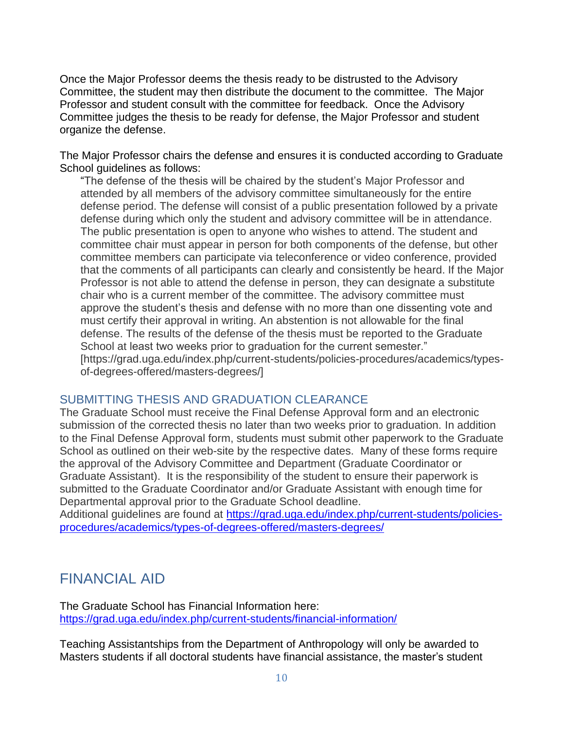Once the Major Professor deems the thesis ready to be distrusted to the Advisory Committee, the student may then distribute the document to the committee. The Major Professor and student consult with the committee for feedback. Once the Advisory Committee judges the thesis to be ready for defense, the Major Professor and student organize the defense.

The Major Professor chairs the defense and ensures it is conducted according to Graduate School guidelines as follows:

"The defense of the thesis will be chaired by the student's Major Professor and attended by all members of the advisory committee simultaneously for the entire defense period. The defense will consist of a public presentation followed by a private defense during which only the student and advisory committee will be in attendance. The public presentation is open to anyone who wishes to attend. The student and committee chair must appear in person for both components of the defense, but other committee members can participate via teleconference or video conference, provided that the comments of all participants can clearly and consistently be heard. If the Major Professor is not able to attend the defense in person, they can designate a substitute chair who is a current member of the committee. The advisory committee must approve the student's thesis and defense with no more than one dissenting vote and must certify their approval in writing. An abstention is not allowable for the final defense. The results of the defense of the thesis must be reported to the Graduate School at least two weeks prior to graduation for the current semester." [https://grad.uga.edu/index.php/current-students/policies-procedures/academics/typesof-degrees-offered/masters-degrees/]

#### <span id="page-9-0"></span>SUBMITTING THESIS AND GRADUATION CLEARANCE

The Graduate School must receive the Final Defense Approval form and an electronic submission of the corrected thesis no later than two weeks prior to graduation. In addition to the Final Defense Approval form, students must submit other paperwork to the Graduate School as outlined on their web-site by the respective dates. Many of these forms require the approval of the Advisory Committee and Department (Graduate Coordinator or Graduate Assistant). It is the responsibility of the student to ensure their paperwork is submitted to the Graduate Coordinator and/or Graduate Assistant with enough time for Departmental approval prior to the Graduate School deadline.

Additional guidelines are found at [https://grad.uga.edu/index.php/current-students/policies](https://grad.uga.edu/index.php/current-students/policies-procedures/academics/types-of-degrees-offered/masters-degrees/)[procedures/academics/types-of-degrees-offered/masters-degrees/](https://grad.uga.edu/index.php/current-students/policies-procedures/academics/types-of-degrees-offered/masters-degrees/)

## <span id="page-9-1"></span>FINANCIAL AID

The Graduate School has Financial Information here: <https://grad.uga.edu/index.php/current-students/financial-information/>

Teaching Assistantships from the Department of Anthropology will only be awarded to Masters students if all doctoral students have financial assistance, the master's student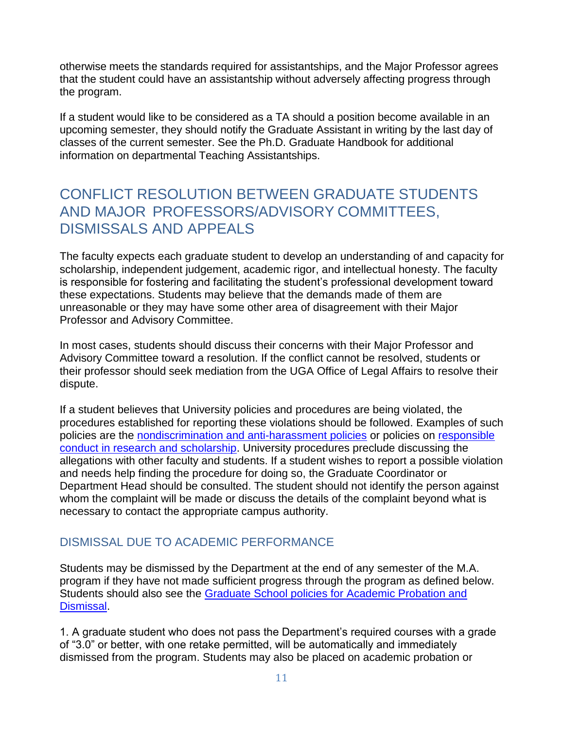otherwise meets the standards required for assistantships, and the Major Professor agrees that the student could have an assistantship without adversely affecting progress through the program.

If a student would like to be considered as a TA should a position become available in an upcoming semester, they should notify the Graduate Assistant in writing by the last day of classes of the current semester. See the Ph.D. Graduate Handbook for additional information on departmental Teaching Assistantships.

## <span id="page-10-0"></span>CONFLICT RESOLUTION BETWEEN GRADUATE STUDENTS AND MAJOR PROFESSORS/ADVISORY COMMITTEES, DISMISSALS AND APPEALS

The faculty expects each graduate student to develop an understanding of and capacity for scholarship, independent judgement, academic rigor, and intellectual honesty. The faculty is responsible for fostering and facilitating the student's professional development toward these expectations. Students may believe that the demands made of them are unreasonable or they may have some other area of disagreement with their Major Professor and Advisory Committee.

In most cases, students should discuss their concerns with their Major Professor and Advisory Committee toward a resolution. If the conflict cannot be resolved, students or their professor should seek mediation from the UGA Office of Legal Affairs to resolve their dispute.

If a student believes that University policies and procedures are being violated, the procedures established for reporting these violations should be followed. Examples of such policies are the [nondiscrimination and anti-harassment policies](https://eoo.uga.edu/policies-resources/ndah-policy/) or policies on responsible [conduct in research and scholarship.](https://research.uga.edu/integrity-support/rcr/#1494440856532-10272d61-101f) University procedures preclude discussing the allegations with other faculty and students. If a student wishes to report a possible violation and needs help finding the procedure for doing so, the Graduate Coordinator or Department Head should be consulted. The student should not identify the person against whom the complaint will be made or discuss the details of the complaint beyond what is necessary to contact the appropriate campus authority.

### <span id="page-10-1"></span>DISMISSAL DUE TO ACADEMIC PERFORMANCE

Students may be dismissed by the Department at the end of any semester of the M.A. program if they have not made sufficient progress through the program as defined below. Students should also see the [Graduate School policies for Academic Probation and](https://grad.uga.edu/index.php/current-students/policies-procedures/academics/probation-and-dismissal/)  [Dismissal.](https://grad.uga.edu/index.php/current-students/policies-procedures/academics/probation-and-dismissal/)

1. A graduate student who does not pass the Department's required courses with a grade of "3.0" or better, with one retake permitted, will be automatically and immediately dismissed from the program. Students may also be placed on academic probation or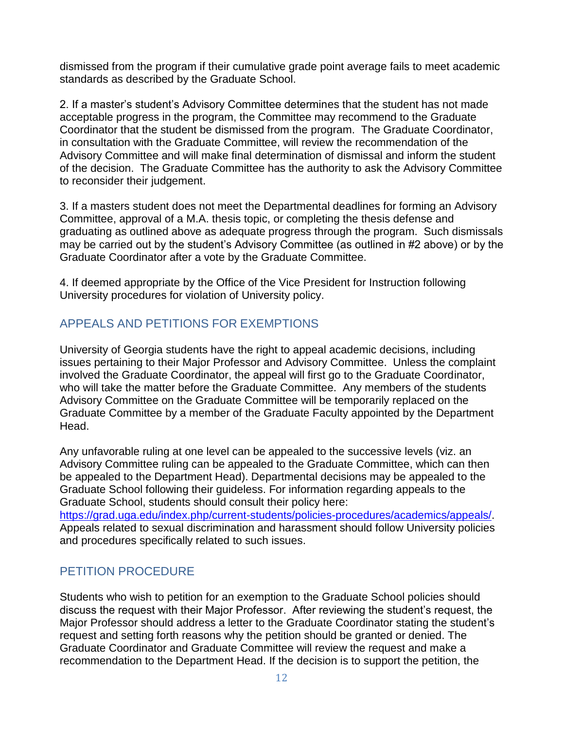dismissed from the program if their cumulative grade point average fails to meet academic standards as described by the Graduate School.

2. If a master's student's Advisory Committee determines that the student has not made acceptable progress in the program, the Committee may recommend to the Graduate Coordinator that the student be dismissed from the program. The Graduate Coordinator, in consultation with the Graduate Committee, will review the recommendation of the Advisory Committee and will make final determination of dismissal and inform the student of the decision. The Graduate Committee has the authority to ask the Advisory Committee to reconsider their judgement.

3. If a masters student does not meet the Departmental deadlines for forming an Advisory Committee, approval of a M.A. thesis topic, or completing the thesis defense and graduating as outlined above as adequate progress through the program. Such dismissals may be carried out by the student's Advisory Committee (as outlined in #2 above) or by the Graduate Coordinator after a vote by the Graduate Committee.

4. If deemed appropriate by the Office of the Vice President for Instruction following University procedures for violation of University policy.

#### <span id="page-11-0"></span>APPEALS AND PETITIONS FOR EXEMPTIONS

University of Georgia students have the right to appeal academic decisions, including issues pertaining to their Major Professor and Advisory Committee. Unless the complaint involved the Graduate Coordinator, the appeal will first go to the Graduate Coordinator, who will take the matter before the Graduate Committee. Any members of the students Advisory Committee on the Graduate Committee will be temporarily replaced on the Graduate Committee by a member of the Graduate Faculty appointed by the Department Head.

Any unfavorable ruling at one level can be appealed to the successive levels (viz. an Advisory Committee ruling can be appealed to the Graduate Committee, which can then be appealed to the Department Head). Departmental decisions may be appealed to the Graduate School following their guideless. For information regarding appeals to the Graduate School, students should consult their policy here: [https://grad.uga.edu/index.php/current-students/policies-procedures/academics/appeals/.](https://grad.uga.edu/index.php/current-students/policies-procedures/academics/appeals/)

Appeals related to sexual discrimination and harassment should follow University policies and procedures specifically related to such issues.

#### <span id="page-11-1"></span>PETITION PROCEDURE

Students who wish to petition for an exemption to the Graduate School policies should discuss the request with their Major Professor. After reviewing the student's request, the Major Professor should address a letter to the Graduate Coordinator stating the student's request and setting forth reasons why the petition should be granted or denied. The Graduate Coordinator and Graduate Committee will review the request and make a recommendation to the Department Head. If the decision is to support the petition, the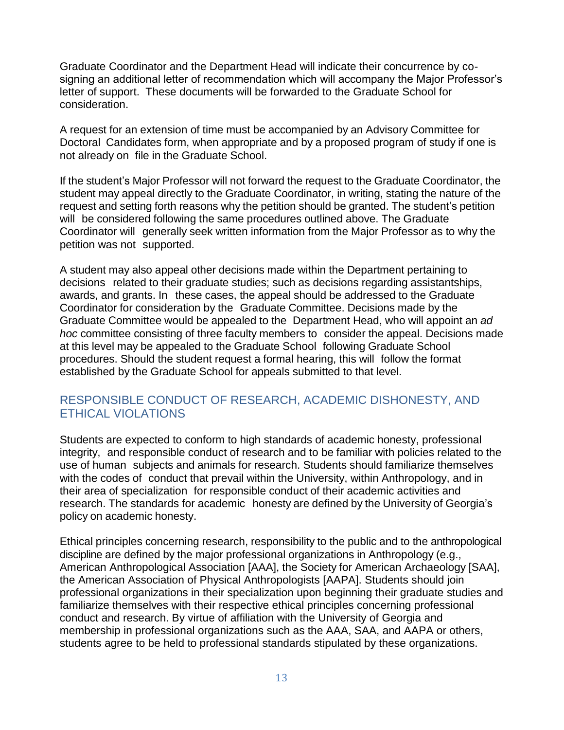Graduate Coordinator and the Department Head will indicate their concurrence by cosigning an additional letter of recommendation which will accompany the Major Professor's letter of support. These documents will be forwarded to the Graduate School for consideration.

A request for an extension of time must be accompanied by an Advisory Committee for Doctoral Candidates form, when appropriate and by a proposed program of study if one is not already on file in the Graduate School.

If the student's Major Professor will not forward the request to the Graduate Coordinator, the student may appeal directly to the Graduate Coordinator, in writing, stating the nature of the request and setting forth reasons why the petition should be granted. The student's petition will be considered following the same procedures outlined above. The Graduate Coordinator will generally seek written information from the Major Professor as to why the petition was not supported.

A student may also appeal other decisions made within the Department pertaining to decisions related to their graduate studies; such as decisions regarding assistantships, awards, and grants. In these cases, the appeal should be addressed to the Graduate Coordinator for consideration by the Graduate Committee. Decisions made by the Graduate Committee would be appealed to the Department Head, who will appoint an *ad hoc* committee consisting of three faculty members to consider the appeal. Decisions made at this level may be appealed to the Graduate School following Graduate School procedures. Should the student request a formal hearing, this will follow the format established by the Graduate School for appeals submitted to that level.

#### <span id="page-12-0"></span>RESPONSIBLE CONDUCT OF RESEARCH, ACADEMIC DISHONESTY, AND ETHICAL VIOLATIONS

Students are expected to conform to high standards of academic honesty, professional integrity, and responsible conduct of research and to be familiar with policies related to the use of human subjects and animals for research. Students should familiarize themselves with the codes of conduct that prevail within the University, within Anthropology, and in their area of specialization for responsible conduct of their academic activities and research. The standards for academic honesty are defined by the University of Georgia's policy on academic honesty.

Ethical principles concerning research, responsibility to the public and to the anthropological discipline are defined by the major professional organizations in Anthropology (e.g., American Anthropological Association [AAA], the Society for American Archaeology [SAA], the American Association of Physical Anthropologists [AAPA]. Students should join professional organizations in their specialization upon beginning their graduate studies and familiarize themselves with their respective ethical principles concerning professional conduct and research. By virtue of affiliation with the University of Georgia and membership in professional organizations such as the AAA, SAA, and AAPA or others, students agree to be held to professional standards stipulated by these organizations.